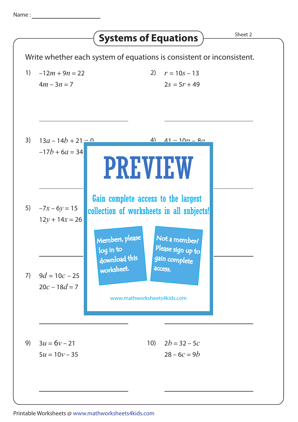